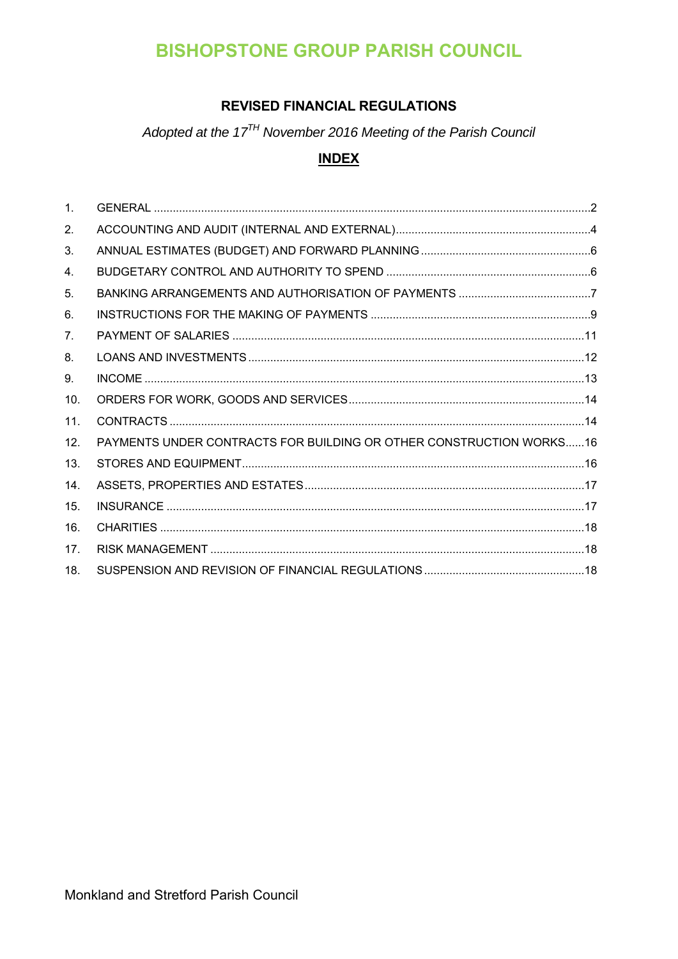# **BISHOPSTONE GROUP PARISH COUNCIL**

# **REVISED FINANCIAL REGULATIONS**

Adopted at the 17<sup>TH</sup> November 2016 Meeting of the Parish Council

# **INDEX**

| $\mathbf{1}$ . |                                                                     |
|----------------|---------------------------------------------------------------------|
| 2.             |                                                                     |
| 3.             |                                                                     |
| 4.             |                                                                     |
| 5.             |                                                                     |
| 6.             |                                                                     |
| 7 <sub>1</sub> |                                                                     |
| 8.             |                                                                     |
| 9.             |                                                                     |
| 10.            |                                                                     |
| 11.            |                                                                     |
| 12.            | PAYMENTS UNDER CONTRACTS FOR BUILDING OR OTHER CONSTRUCTION WORKS16 |
| 13.            |                                                                     |
| 14.            |                                                                     |
| 15.            |                                                                     |
| 16.            |                                                                     |
| 17.            |                                                                     |
| 18.            |                                                                     |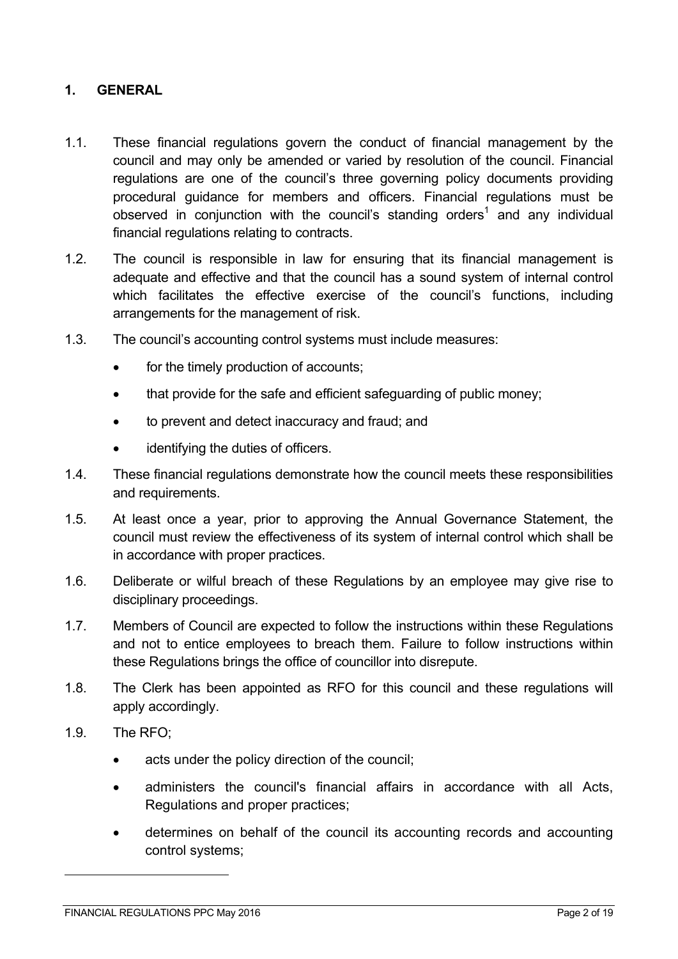### **1. GENERAL**

- 1.1. These financial regulations govern the conduct of financial management by the council and may only be amended or varied by resolution of the council. Financial regulations are one of the council's three governing policy documents providing procedural guidance for members and officers. Financial regulations must be observed in conjunction with the council's standing orders<sup>1</sup> and any individual financial regulations relating to contracts.
- 1.2. The council is responsible in law for ensuring that its financial management is adequate and effective and that the council has a sound system of internal control which facilitates the effective exercise of the council's functions, including arrangements for the management of risk.
- 1.3. The council's accounting control systems must include measures:
	- for the timely production of accounts;
	- that provide for the safe and efficient safeguarding of public money;
	- to prevent and detect inaccuracy and fraud; and
	- identifying the duties of officers.
- 1.4. These financial regulations demonstrate how the council meets these responsibilities and requirements.
- 1.5. At least once a year, prior to approving the Annual Governance Statement, the council must review the effectiveness of its system of internal control which shall be in accordance with proper practices.
- 1.6. Deliberate or wilful breach of these Regulations by an employee may give rise to disciplinary proceedings.
- 1.7. Members of Council are expected to follow the instructions within these Regulations and not to entice employees to breach them. Failure to follow instructions within these Regulations brings the office of councillor into disrepute.
- 1.8. The Clerk has been appointed as RFO for this council and these regulations will apply accordingly.
- 1.9. The RFO;

 $\overline{a}$ 

- acts under the policy direction of the council;
- administers the council's financial affairs in accordance with all Acts, Regulations and proper practices;
- determines on behalf of the council its accounting records and accounting control systems;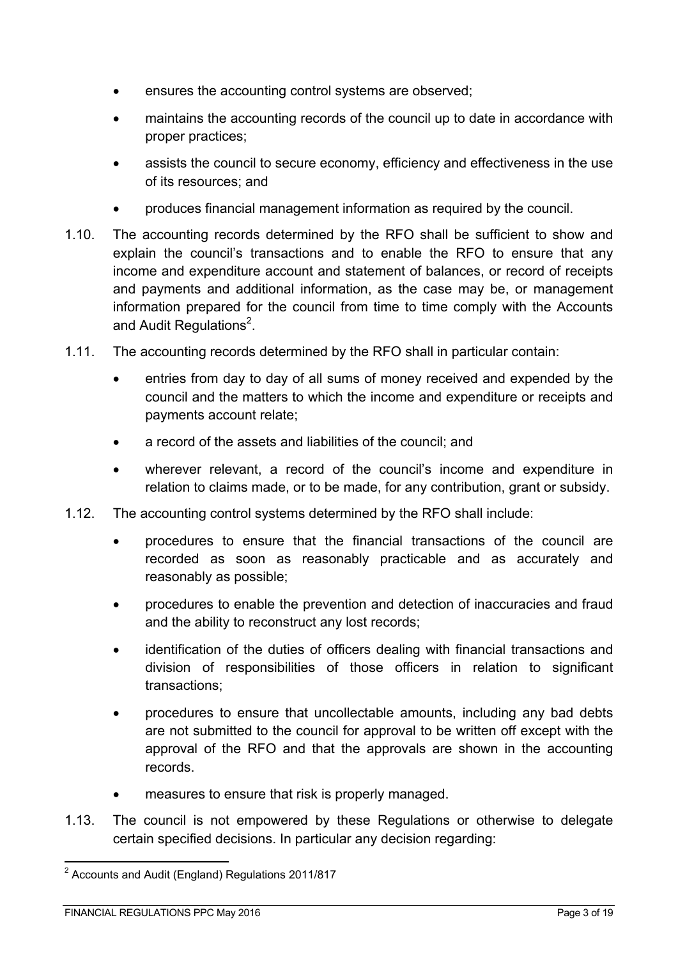- ensures the accounting control systems are observed;
- maintains the accounting records of the council up to date in accordance with proper practices;
- assists the council to secure economy, efficiency and effectiveness in the use of its resources; and
- produces financial management information as required by the council.
- 1.10. The accounting records determined by the RFO shall be sufficient to show and explain the council's transactions and to enable the RFO to ensure that any income and expenditure account and statement of balances, or record of receipts and payments and additional information, as the case may be, or management information prepared for the council from time to time comply with the Accounts and Audit Regulations $^2$ .
- 1.11. The accounting records determined by the RFO shall in particular contain:
	- entries from day to day of all sums of money received and expended by the council and the matters to which the income and expenditure or receipts and payments account relate;
	- a record of the assets and liabilities of the council; and
	- wherever relevant, a record of the council's income and expenditure in relation to claims made, or to be made, for any contribution, grant or subsidy.
- 1.12. The accounting control systems determined by the RFO shall include:
	- procedures to ensure that the financial transactions of the council are recorded as soon as reasonably practicable and as accurately and reasonably as possible;
	- procedures to enable the prevention and detection of inaccuracies and fraud and the ability to reconstruct any lost records;
	- identification of the duties of officers dealing with financial transactions and division of responsibilities of those officers in relation to significant transactions;
	- procedures to ensure that uncollectable amounts, including any bad debts are not submitted to the council for approval to be written off except with the approval of the RFO and that the approvals are shown in the accounting records.
	- measures to ensure that risk is properly managed.
- 1.13. The council is not empowered by these Regulations or otherwise to delegate certain specified decisions. In particular any decision regarding:

 2 Accounts and Audit (England) Regulations 2011/817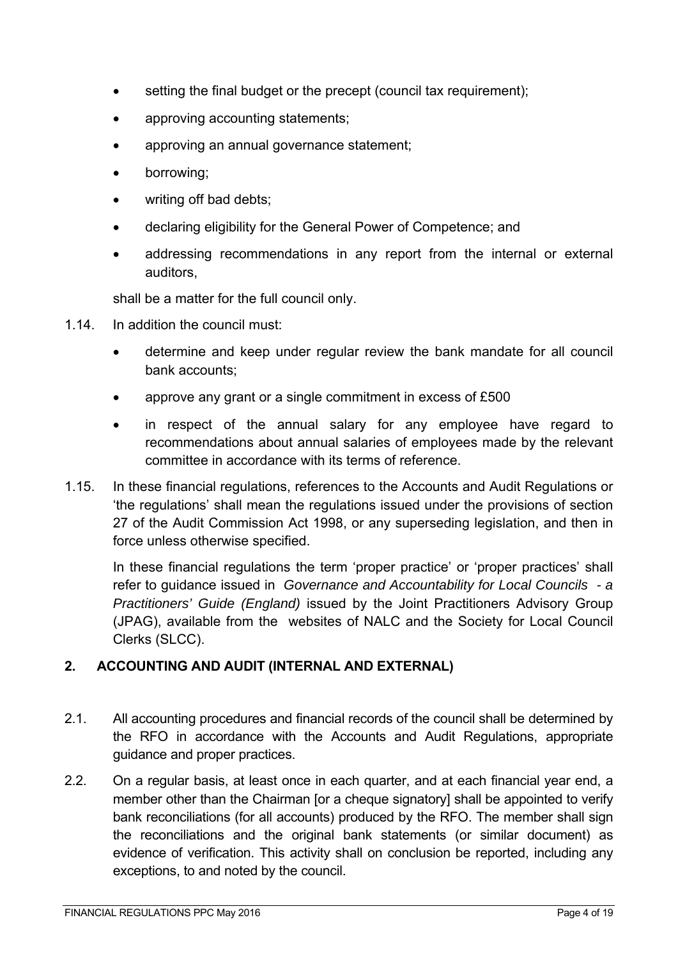- setting the final budget or the precept (council tax requirement);
- approving accounting statements;
- approving an annual governance statement;
- borrowing;
- writing off bad debts;
- declaring eligibility for the General Power of Competence; and
- addressing recommendations in any report from the internal or external auditors,

shall be a matter for the full council only.

- 1.14. In addition the council must:
	- determine and keep under regular review the bank mandate for all council bank accounts;
	- approve any grant or a single commitment in excess of £500
	- in respect of the annual salary for any employee have regard to recommendations about annual salaries of employees made by the relevant committee in accordance with its terms of reference.
- 1.15. In these financial regulations, references to the Accounts and Audit Regulations or 'the regulations' shall mean the regulations issued under the provisions of section 27 of the Audit Commission Act 1998, or any superseding legislation, and then in force unless otherwise specified.

In these financial regulations the term 'proper practice' or 'proper practices' shall refer to guidance issued in *Governance and Accountability for Local Councils - a Practitioners' Guide (England)* issued by the Joint Practitioners Advisory Group (JPAG), available from the websites of NALC and the Society for Local Council Clerks (SLCC).

### **2. ACCOUNTING AND AUDIT (INTERNAL AND EXTERNAL)**

- 2.1. All accounting procedures and financial records of the council shall be determined by the RFO in accordance with the Accounts and Audit Regulations, appropriate guidance and proper practices.
- 2.2. On a regular basis, at least once in each quarter, and at each financial year end, a member other than the Chairman [or a cheque signatory] shall be appointed to verify bank reconciliations (for all accounts) produced by the RFO. The member shall sign the reconciliations and the original bank statements (or similar document) as evidence of verification. This activity shall on conclusion be reported, including any exceptions, to and noted by the council.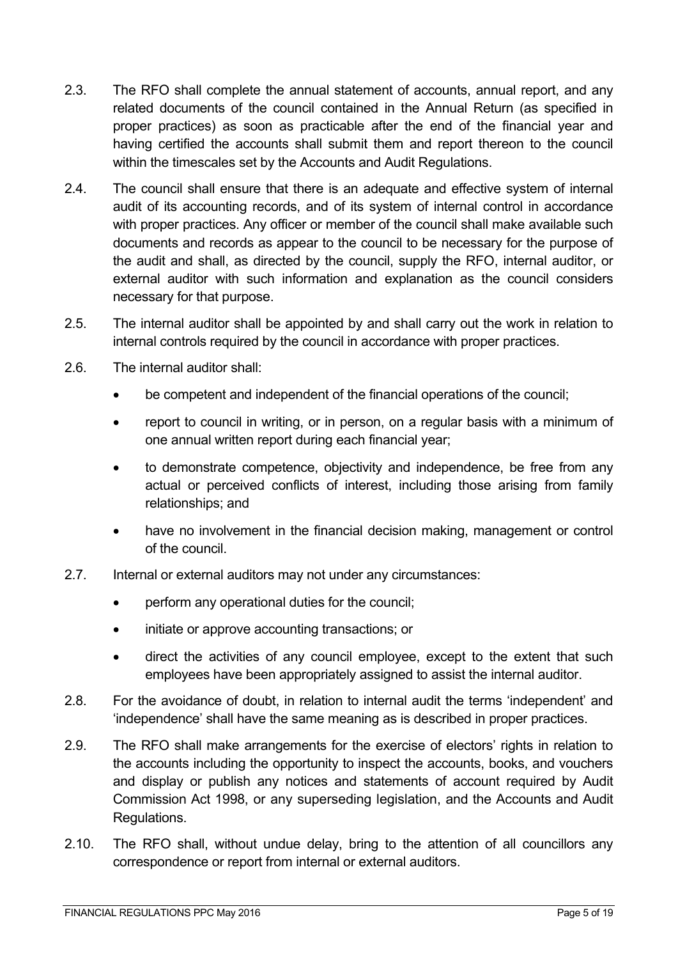- 2.3. The RFO shall complete the annual statement of accounts, annual report, and any related documents of the council contained in the Annual Return (as specified in proper practices) as soon as practicable after the end of the financial year and having certified the accounts shall submit them and report thereon to the council within the timescales set by the Accounts and Audit Regulations.
- 2.4. The council shall ensure that there is an adequate and effective system of internal audit of its accounting records, and of its system of internal control in accordance with proper practices. Any officer or member of the council shall make available such documents and records as appear to the council to be necessary for the purpose of the audit and shall, as directed by the council, supply the RFO, internal auditor, or external auditor with such information and explanation as the council considers necessary for that purpose.
- 2.5. The internal auditor shall be appointed by and shall carry out the work in relation to internal controls required by the council in accordance with proper practices.
- 2.6. The internal auditor shall:
	- be competent and independent of the financial operations of the council;
	- report to council in writing, or in person, on a regular basis with a minimum of one annual written report during each financial year;
	- to demonstrate competence, objectivity and independence, be free from any actual or perceived conflicts of interest, including those arising from family relationships; and
	- have no involvement in the financial decision making, management or control of the council.
- 2.7. Internal or external auditors may not under any circumstances:
	- perform any operational duties for the council;
	- initiate or approve accounting transactions; or
	- direct the activities of any council employee, except to the extent that such employees have been appropriately assigned to assist the internal auditor.
- 2.8. For the avoidance of doubt, in relation to internal audit the terms 'independent' and 'independence' shall have the same meaning as is described in proper practices.
- 2.9. The RFO shall make arrangements for the exercise of electors' rights in relation to the accounts including the opportunity to inspect the accounts, books, and vouchers and display or publish any notices and statements of account required by Audit Commission Act 1998, or any superseding legislation, and the Accounts and Audit Regulations.
- 2.10. The RFO shall, without undue delay, bring to the attention of all councillors any correspondence or report from internal or external auditors.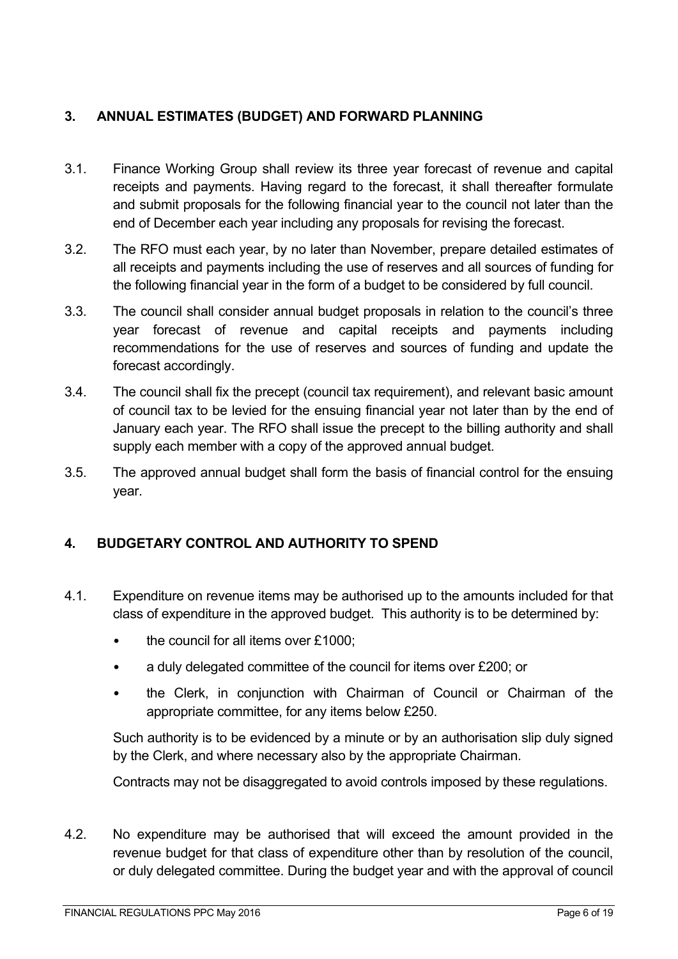# **3. ANNUAL ESTIMATES (BUDGET) AND FORWARD PLANNING**

- 3.1. Finance Working Group shall review its three year forecast of revenue and capital receipts and payments. Having regard to the forecast, it shall thereafter formulate and submit proposals for the following financial year to the council not later than the end of December each year including any proposals for revising the forecast.
- 3.2. The RFO must each year, by no later than November, prepare detailed estimates of all receipts and payments including the use of reserves and all sources of funding for the following financial year in the form of a budget to be considered by full council.
- 3.3. The council shall consider annual budget proposals in relation to the council's three year forecast of revenue and capital receipts and payments including recommendations for the use of reserves and sources of funding and update the forecast accordingly.
- 3.4. The council shall fix the precept (council tax requirement), and relevant basic amount of council tax to be levied for the ensuing financial year not later than by the end of January each year. The RFO shall issue the precept to the billing authority and shall supply each member with a copy of the approved annual budget.
- 3.5. The approved annual budget shall form the basis of financial control for the ensuing year.

### **4. BUDGETARY CONTROL AND AUTHORITY TO SPEND**

- 4.1. Expenditure on revenue items may be authorised up to the amounts included for that class of expenditure in the approved budget. This authority is to be determined by:
	- the council for all items over £1000;
	- a duly delegated committee of the council for items over £200; or
	- the Clerk, in conjunction with Chairman of Council or Chairman of the appropriate committee, for any items below £250.

Such authority is to be evidenced by a minute or by an authorisation slip duly signed by the Clerk, and where necessary also by the appropriate Chairman.

Contracts may not be disaggregated to avoid controls imposed by these regulations.

4.2. No expenditure may be authorised that will exceed the amount provided in the revenue budget for that class of expenditure other than by resolution of the council, or duly delegated committee. During the budget year and with the approval of council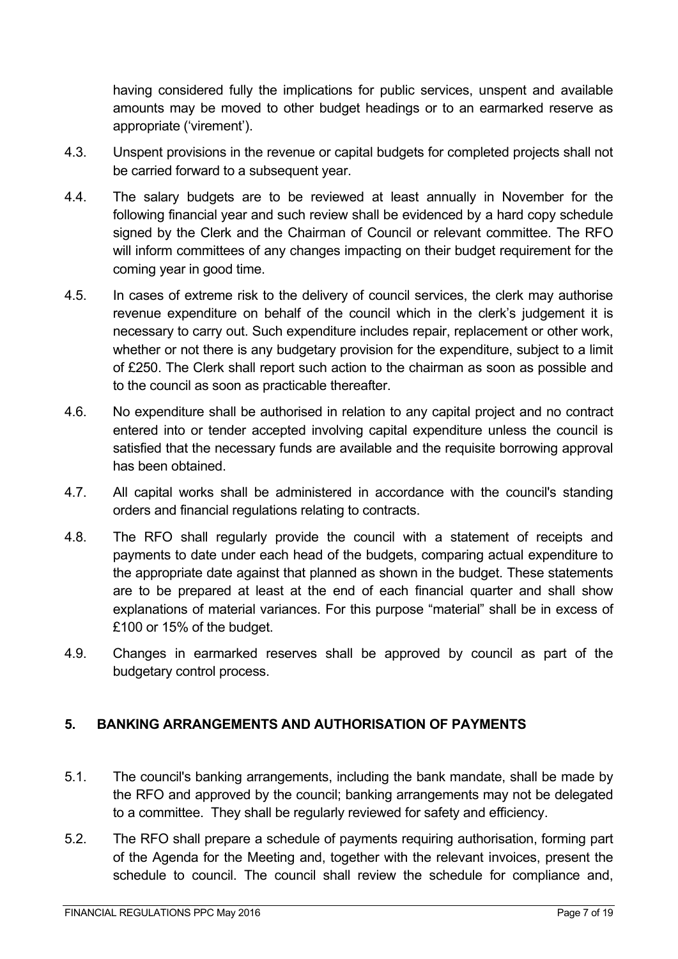having considered fully the implications for public services, unspent and available amounts may be moved to other budget headings or to an earmarked reserve as appropriate ('virement').

- 4.3. Unspent provisions in the revenue or capital budgets for completed projects shall not be carried forward to a subsequent year.
- 4.4. The salary budgets are to be reviewed at least annually in November for the following financial year and such review shall be evidenced by a hard copy schedule signed by the Clerk and the Chairman of Council or relevant committee. The RFO will inform committees of any changes impacting on their budget requirement for the coming year in good time.
- 4.5. In cases of extreme risk to the delivery of council services, the clerk may authorise revenue expenditure on behalf of the council which in the clerk's judgement it is necessary to carry out. Such expenditure includes repair, replacement or other work, whether or not there is any budgetary provision for the expenditure, subject to a limit of £250. The Clerk shall report such action to the chairman as soon as possible and to the council as soon as practicable thereafter.
- 4.6. No expenditure shall be authorised in relation to any capital project and no contract entered into or tender accepted involving capital expenditure unless the council is satisfied that the necessary funds are available and the requisite borrowing approval has been obtained.
- 4.7. All capital works shall be administered in accordance with the council's standing orders and financial regulations relating to contracts.
- 4.8. The RFO shall regularly provide the council with a statement of receipts and payments to date under each head of the budgets, comparing actual expenditure to the appropriate date against that planned as shown in the budget. These statements are to be prepared at least at the end of each financial quarter and shall show explanations of material variances. For this purpose "material" shall be in excess of £100 or 15% of the budget.
- 4.9. Changes in earmarked reserves shall be approved by council as part of the budgetary control process.

# **5. BANKING ARRANGEMENTS AND AUTHORISATION OF PAYMENTS**

- 5.1. The council's banking arrangements, including the bank mandate, shall be made by the RFO and approved by the council; banking arrangements may not be delegated to a committee. They shall be regularly reviewed for safety and efficiency.
- 5.2. The RFO shall prepare a schedule of payments requiring authorisation, forming part of the Agenda for the Meeting and, together with the relevant invoices, present the schedule to council. The council shall review the schedule for compliance and,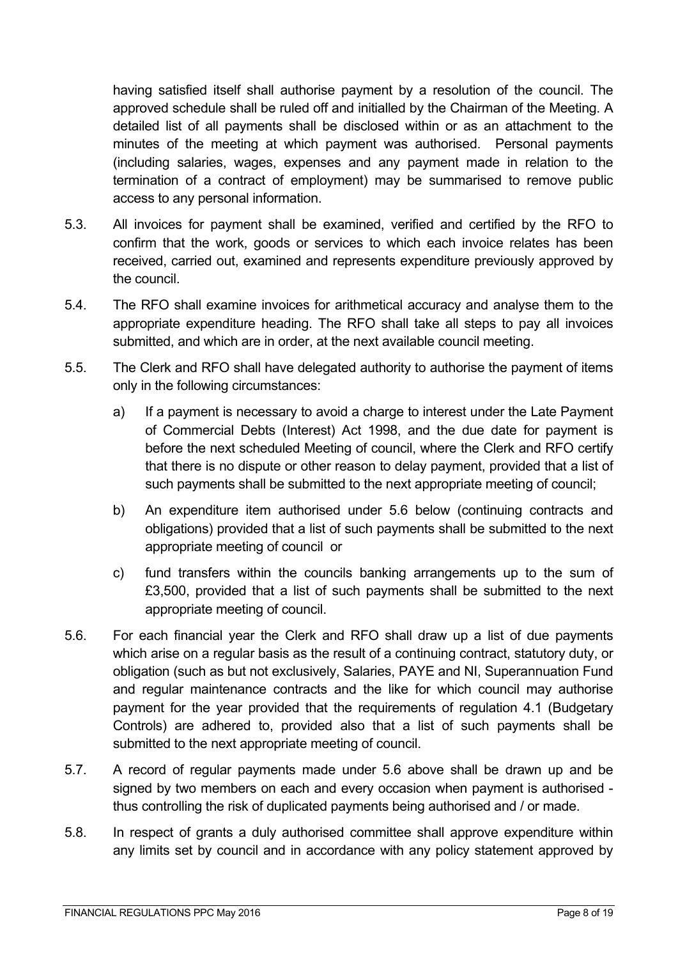having satisfied itself shall authorise payment by a resolution of the council. The approved schedule shall be ruled off and initialled by the Chairman of the Meeting. A detailed list of all payments shall be disclosed within or as an attachment to the minutes of the meeting at which payment was authorised. Personal payments (including salaries, wages, expenses and any payment made in relation to the termination of a contract of employment) may be summarised to remove public access to any personal information.

- 5.3. All invoices for payment shall be examined, verified and certified by the RFO to confirm that the work, goods or services to which each invoice relates has been received, carried out, examined and represents expenditure previously approved by the council.
- 5.4. The RFO shall examine invoices for arithmetical accuracy and analyse them to the appropriate expenditure heading. The RFO shall take all steps to pay all invoices submitted, and which are in order, at the next available council meeting.
- 5.5. The Clerk and RFO shall have delegated authority to authorise the payment of items only in the following circumstances:
	- a) If a payment is necessary to avoid a charge to interest under the Late Payment of Commercial Debts (Interest) Act 1998, and the due date for payment is before the next scheduled Meeting of council, where the Clerk and RFO certify that there is no dispute or other reason to delay payment, provided that a list of such payments shall be submitted to the next appropriate meeting of council;
	- b) An expenditure item authorised under 5.6 below (continuing contracts and obligations) provided that a list of such payments shall be submitted to the next appropriate meeting of council or
	- c) fund transfers within the councils banking arrangements up to the sum of £3,500, provided that a list of such payments shall be submitted to the next appropriate meeting of council.
- 5.6. For each financial year the Clerk and RFO shall draw up a list of due payments which arise on a regular basis as the result of a continuing contract, statutory duty, or obligation (such as but not exclusively, Salaries, PAYE and NI, Superannuation Fund and regular maintenance contracts and the like for which council may authorise payment for the year provided that the requirements of regulation 4.1 (Budgetary Controls) are adhered to, provided also that a list of such payments shall be submitted to the next appropriate meeting of council.
- 5.7. A record of regular payments made under 5.6 above shall be drawn up and be signed by two members on each and every occasion when payment is authorised thus controlling the risk of duplicated payments being authorised and / or made.
- 5.8. In respect of grants a duly authorised committee shall approve expenditure within any limits set by council and in accordance with any policy statement approved by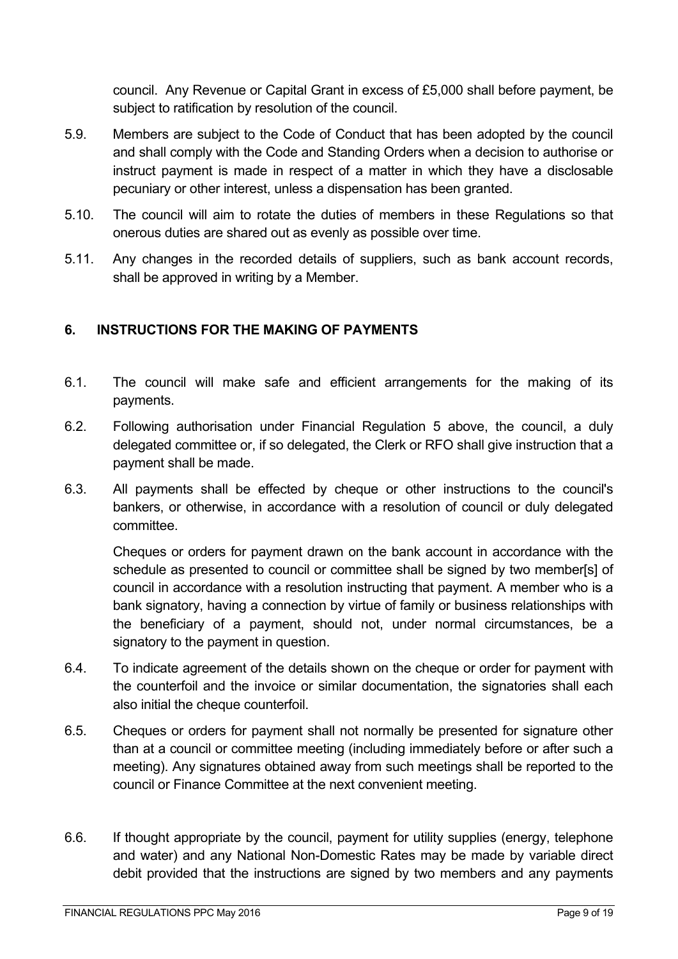council. Any Revenue or Capital Grant in excess of £5,000 shall before payment, be subject to ratification by resolution of the council.

- 5.9. Members are subject to the Code of Conduct that has been adopted by the council and shall comply with the Code and Standing Orders when a decision to authorise or instruct payment is made in respect of a matter in which they have a disclosable pecuniary or other interest, unless a dispensation has been granted.
- 5.10. The council will aim to rotate the duties of members in these Regulations so that onerous duties are shared out as evenly as possible over time.
- 5.11. Any changes in the recorded details of suppliers, such as bank account records, shall be approved in writing by a Member.

### **6. INSTRUCTIONS FOR THE MAKING OF PAYMENTS**

- 6.1. The council will make safe and efficient arrangements for the making of its payments.
- 6.2. Following authorisation under Financial Regulation 5 above, the council, a duly delegated committee or, if so delegated, the Clerk or RFO shall give instruction that a payment shall be made.
- 6.3. All payments shall be effected by cheque or other instructions to the council's bankers, or otherwise, in accordance with a resolution of council or duly delegated committee.

Cheques or orders for payment drawn on the bank account in accordance with the schedule as presented to council or committee shall be signed by two member[s] of council in accordance with a resolution instructing that payment. A member who is a bank signatory, having a connection by virtue of family or business relationships with the beneficiary of a payment, should not, under normal circumstances, be a signatory to the payment in question.

- 6.4. To indicate agreement of the details shown on the cheque or order for payment with the counterfoil and the invoice or similar documentation, the signatories shall each also initial the cheque counterfoil.
- 6.5. Cheques or orders for payment shall not normally be presented for signature other than at a council or committee meeting (including immediately before or after such a meeting). Any signatures obtained away from such meetings shall be reported to the council or Finance Committee at the next convenient meeting.
- 6.6. If thought appropriate by the council, payment for utility supplies (energy, telephone and water) and any National Non-Domestic Rates may be made by variable direct debit provided that the instructions are signed by two members and any payments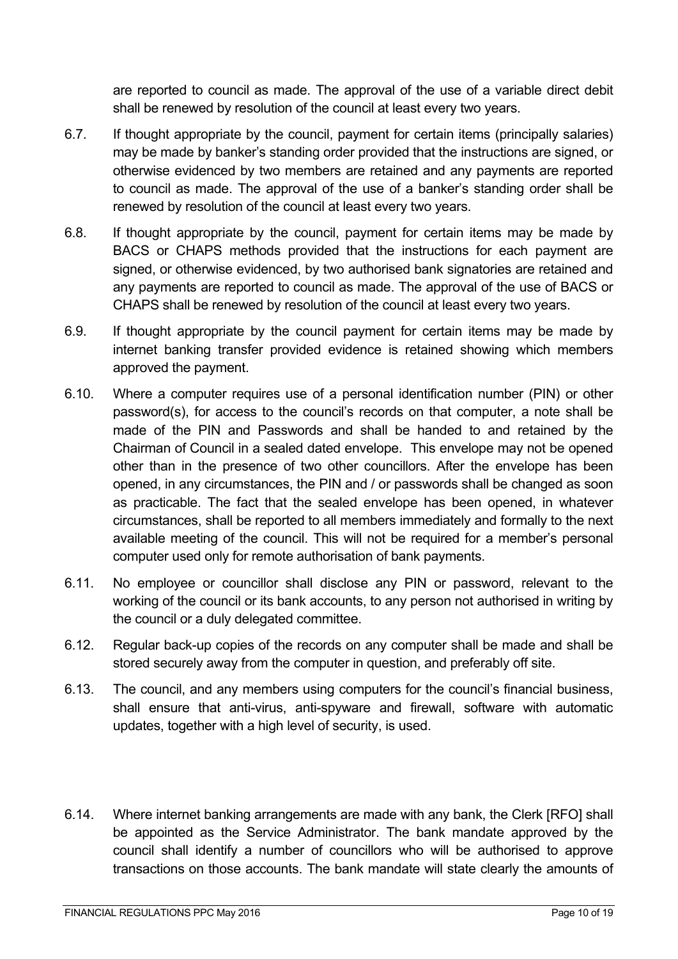are reported to council as made. The approval of the use of a variable direct debit shall be renewed by resolution of the council at least every two years.

- 6.7. If thought appropriate by the council, payment for certain items (principally salaries) may be made by banker's standing order provided that the instructions are signed, or otherwise evidenced by two members are retained and any payments are reported to council as made. The approval of the use of a banker's standing order shall be renewed by resolution of the council at least every two years.
- 6.8. If thought appropriate by the council, payment for certain items may be made by BACS or CHAPS methods provided that the instructions for each payment are signed, or otherwise evidenced, by two authorised bank signatories are retained and any payments are reported to council as made. The approval of the use of BACS or CHAPS shall be renewed by resolution of the council at least every two years.
- 6.9. If thought appropriate by the council payment for certain items may be made by internet banking transfer provided evidence is retained showing which members approved the payment.
- 6.10. Where a computer requires use of a personal identification number (PIN) or other password(s), for access to the council's records on that computer, a note shall be made of the PIN and Passwords and shall be handed to and retained by the Chairman of Council in a sealed dated envelope. This envelope may not be opened other than in the presence of two other councillors. After the envelope has been opened, in any circumstances, the PIN and / or passwords shall be changed as soon as practicable. The fact that the sealed envelope has been opened, in whatever circumstances, shall be reported to all members immediately and formally to the next available meeting of the council. This will not be required for a member's personal computer used only for remote authorisation of bank payments.
- 6.11. No employee or councillor shall disclose any PIN or password, relevant to the working of the council or its bank accounts, to any person not authorised in writing by the council or a duly delegated committee.
- 6.12. Regular back-up copies of the records on any computer shall be made and shall be stored securely away from the computer in question, and preferably off site.
- 6.13. The council, and any members using computers for the council's financial business, shall ensure that anti-virus, anti-spyware and firewall, software with automatic updates, together with a high level of security, is used.
- 6.14. Where internet banking arrangements are made with any bank, the Clerk [RFO] shall be appointed as the Service Administrator. The bank mandate approved by the council shall identify a number of councillors who will be authorised to approve transactions on those accounts. The bank mandate will state clearly the amounts of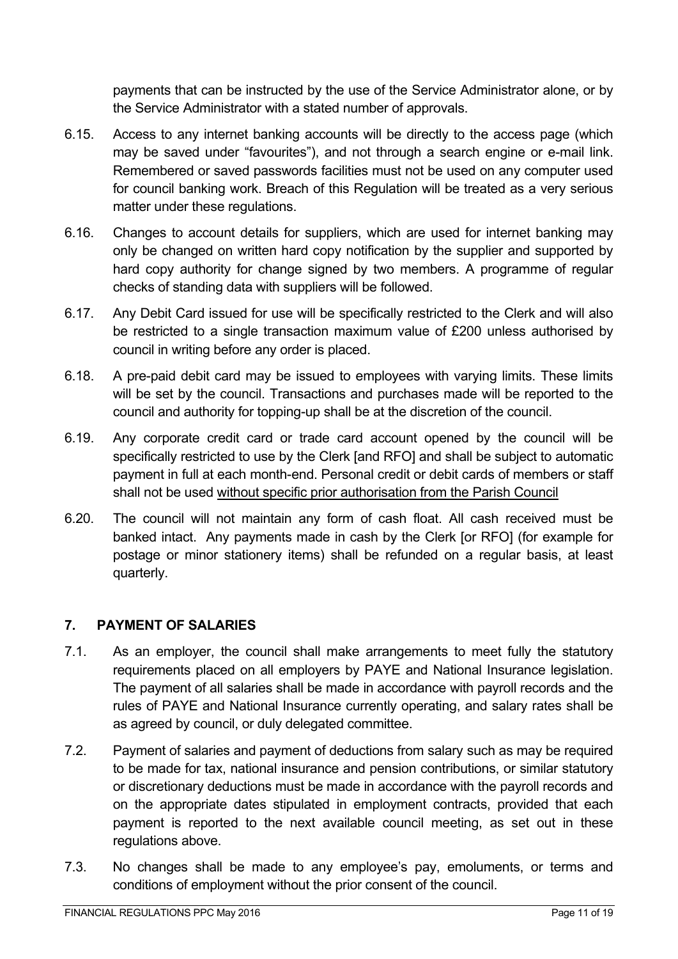payments that can be instructed by the use of the Service Administrator alone, or by the Service Administrator with a stated number of approvals.

- 6.15. Access to any internet banking accounts will be directly to the access page (which may be saved under "favourites"), and not through a search engine or e-mail link. Remembered or saved passwords facilities must not be used on any computer used for council banking work. Breach of this Regulation will be treated as a very serious matter under these regulations.
- 6.16. Changes to account details for suppliers, which are used for internet banking may only be changed on written hard copy notification by the supplier and supported by hard copy authority for change signed by two members. A programme of regular checks of standing data with suppliers will be followed.
- 6.17. Any Debit Card issued for use will be specifically restricted to the Clerk and will also be restricted to a single transaction maximum value of £200 unless authorised by council in writing before any order is placed.
- 6.18. A pre-paid debit card may be issued to employees with varying limits. These limits will be set by the council. Transactions and purchases made will be reported to the council and authority for topping-up shall be at the discretion of the council.
- 6.19. Any corporate credit card or trade card account opened by the council will be specifically restricted to use by the Clerk [and RFO] and shall be subject to automatic payment in full at each month-end. Personal credit or debit cards of members or staff shall not be used without specific prior authorisation from the Parish Council
- 6.20. The council will not maintain any form of cash float. All cash received must be banked intact. Any payments made in cash by the Clerk [or RFO] (for example for postage or minor stationery items) shall be refunded on a regular basis, at least quarterly.

# **7. PAYMENT OF SALARIES**

- 7.1. As an employer, the council shall make arrangements to meet fully the statutory requirements placed on all employers by PAYE and National Insurance legislation. The payment of all salaries shall be made in accordance with payroll records and the rules of PAYE and National Insurance currently operating, and salary rates shall be as agreed by council, or duly delegated committee.
- 7.2. Payment of salaries and payment of deductions from salary such as may be required to be made for tax, national insurance and pension contributions, or similar statutory or discretionary deductions must be made in accordance with the payroll records and on the appropriate dates stipulated in employment contracts, provided that each payment is reported to the next available council meeting, as set out in these regulations above.
- 7.3. No changes shall be made to any employee's pay, emoluments, or terms and conditions of employment without the prior consent of the council.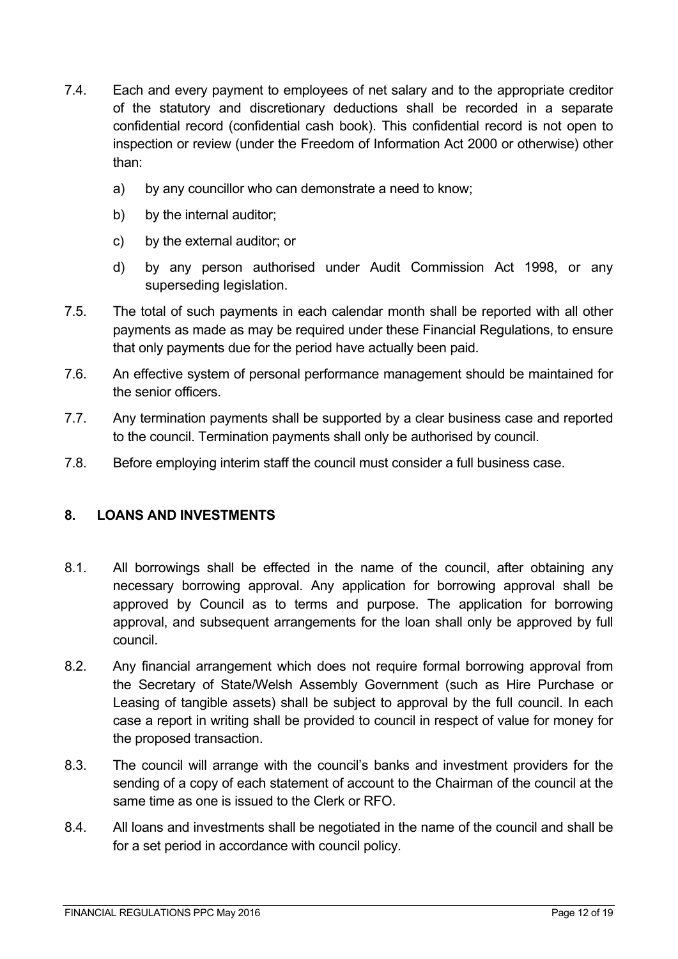- 7.4. Each and every payment to employees of net salary and to the appropriate creditor of the statutory and discretionary deductions shall be recorded in a separate confidential record (confidential cash book). This confidential record is not open to inspection or review (under the Freedom of Information Act 2000 or otherwise) other than:
	- a) by any councillor who can demonstrate a need to know;
	- b) by the internal auditor;
	- c) by the external auditor; or
	- d) by any person authorised under Audit Commission Act 1998, or any superseding legislation.
- 7.5. The total of such payments in each calendar month shall be reported with all other payments as made as may be required under these Financial Regulations, to ensure that only payments due for the period have actually been paid.
- 7.6. An effective system of personal performance management should be maintained for the senior officers.
- 7.7. Any termination payments shall be supported by a clear business case and reported to the council. Termination payments shall only be authorised by council.
- 7.8. Before employing interim staff the council must consider a full business case.

### **8. LOANS AND INVESTMENTS**

- 8.1. All borrowings shall be effected in the name of the council, after obtaining any necessary borrowing approval. Any application for borrowing approval shall be approved by Council as to terms and purpose. The application for borrowing approval, and subsequent arrangements for the loan shall only be approved by full council.
- 8.2. Any financial arrangement which does not require formal borrowing approval from the Secretary of State/Welsh Assembly Government (such as Hire Purchase or Leasing of tangible assets) shall be subject to approval by the full council. In each case a report in writing shall be provided to council in respect of value for money for the proposed transaction.
- 8.3. The council will arrange with the council's banks and investment providers for the sending of a copy of each statement of account to the Chairman of the council at the same time as one is issued to the Clerk or RFO.
- 8.4. All loans and investments shall be negotiated in the name of the council and shall be for a set period in accordance with council policy.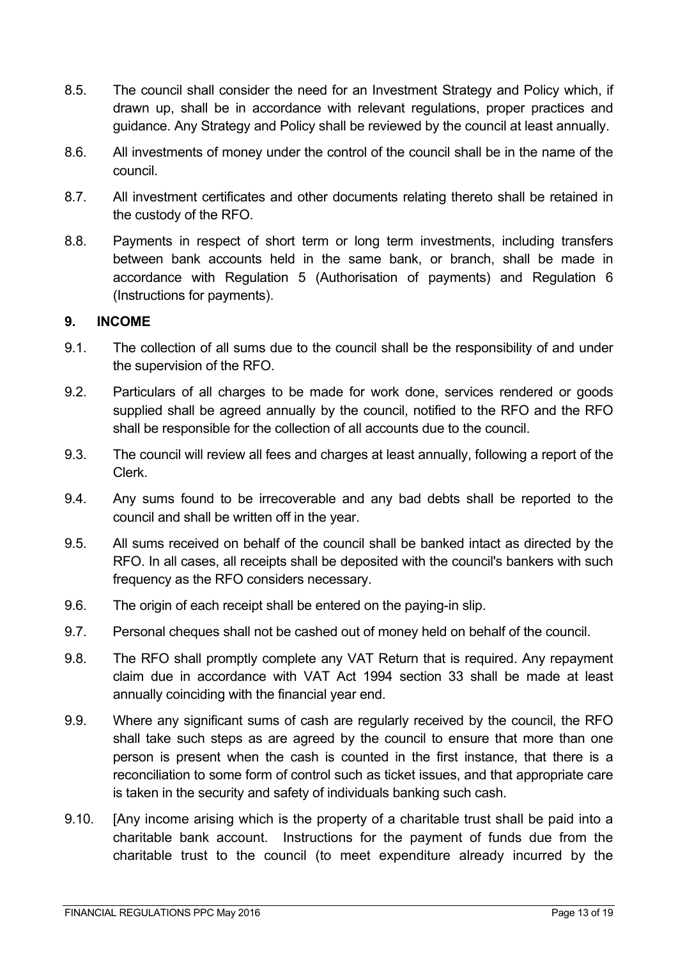- 8.5. The council shall consider the need for an Investment Strategy and Policy which, if drawn up, shall be in accordance with relevant regulations, proper practices and guidance. Any Strategy and Policy shall be reviewed by the council at least annually.
- 8.6. All investments of money under the control of the council shall be in the name of the council.
- 8.7. All investment certificates and other documents relating thereto shall be retained in the custody of the RFO.
- 8.8. Payments in respect of short term or long term investments, including transfers between bank accounts held in the same bank, or branch, shall be made in accordance with Regulation 5 (Authorisation of payments) and Regulation 6 (Instructions for payments).

#### **9. INCOME**

- 9.1. The collection of all sums due to the council shall be the responsibility of and under the supervision of the RFO.
- 9.2. Particulars of all charges to be made for work done, services rendered or goods supplied shall be agreed annually by the council, notified to the RFO and the RFO shall be responsible for the collection of all accounts due to the council.
- 9.3. The council will review all fees and charges at least annually, following a report of the Clerk.
- 9.4. Any sums found to be irrecoverable and any bad debts shall be reported to the council and shall be written off in the year.
- 9.5. All sums received on behalf of the council shall be banked intact as directed by the RFO. In all cases, all receipts shall be deposited with the council's bankers with such frequency as the RFO considers necessary.
- 9.6. The origin of each receipt shall be entered on the paying-in slip.
- 9.7. Personal cheques shall not be cashed out of money held on behalf of the council.
- 9.8. The RFO shall promptly complete any VAT Return that is required. Any repayment claim due in accordance with VAT Act 1994 section 33 shall be made at least annually coinciding with the financial year end.
- 9.9. Where any significant sums of cash are regularly received by the council, the RFO shall take such steps as are agreed by the council to ensure that more than one person is present when the cash is counted in the first instance, that there is a reconciliation to some form of control such as ticket issues, and that appropriate care is taken in the security and safety of individuals banking such cash.
- 9.10. [Any income arising which is the property of a charitable trust shall be paid into a charitable bank account. Instructions for the payment of funds due from the charitable trust to the council (to meet expenditure already incurred by the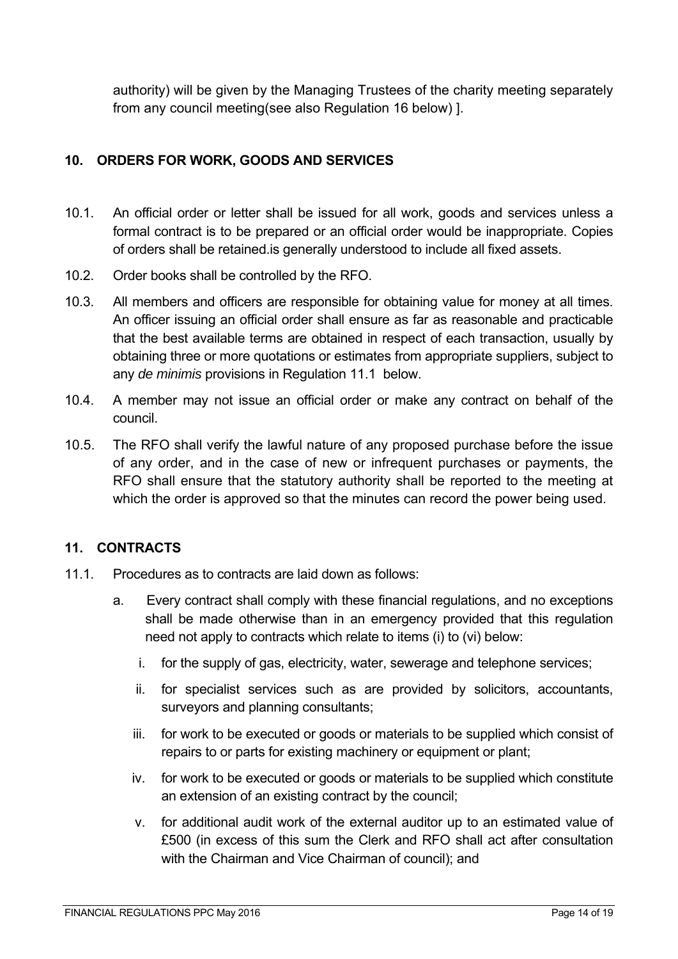authority) will be given by the Managing Trustees of the charity meeting separately from any council meeting(see also Regulation 16 below) ].

# **10. ORDERS FOR WORK, GOODS AND SERVICES**

- 10.1. An official order or letter shall be issued for all work, goods and services unless a formal contract is to be prepared or an official order would be inappropriate. Copies of orders shall be retained.is generally understood to include all fixed assets.
- 10.2. Order books shall be controlled by the RFO.
- 10.3. All members and officers are responsible for obtaining value for money at all times. An officer issuing an official order shall ensure as far as reasonable and practicable that the best available terms are obtained in respect of each transaction, usually by obtaining three or more quotations or estimates from appropriate suppliers, subject to any *de minimis* provisions in Regulation 11.1 below.
- 10.4. A member may not issue an official order or make any contract on behalf of the council.
- 10.5. The RFO shall verify the lawful nature of any proposed purchase before the issue of any order, and in the case of new or infrequent purchases or payments, the RFO shall ensure that the statutory authority shall be reported to the meeting at which the order is approved so that the minutes can record the power being used.

### **11. CONTRACTS**

- 11.1. Procedures as to contracts are laid down as follows:
	- a. Every contract shall comply with these financial regulations, and no exceptions shall be made otherwise than in an emergency provided that this regulation need not apply to contracts which relate to items (i) to (vi) below:
		- i. for the supply of gas, electricity, water, sewerage and telephone services;
		- ii. for specialist services such as are provided by solicitors, accountants, surveyors and planning consultants;
		- iii. for work to be executed or goods or materials to be supplied which consist of repairs to or parts for existing machinery or equipment or plant;
		- iv. for work to be executed or goods or materials to be supplied which constitute an extension of an existing contract by the council;
		- v. for additional audit work of the external auditor up to an estimated value of £500 (in excess of this sum the Clerk and RFO shall act after consultation with the Chairman and Vice Chairman of council); and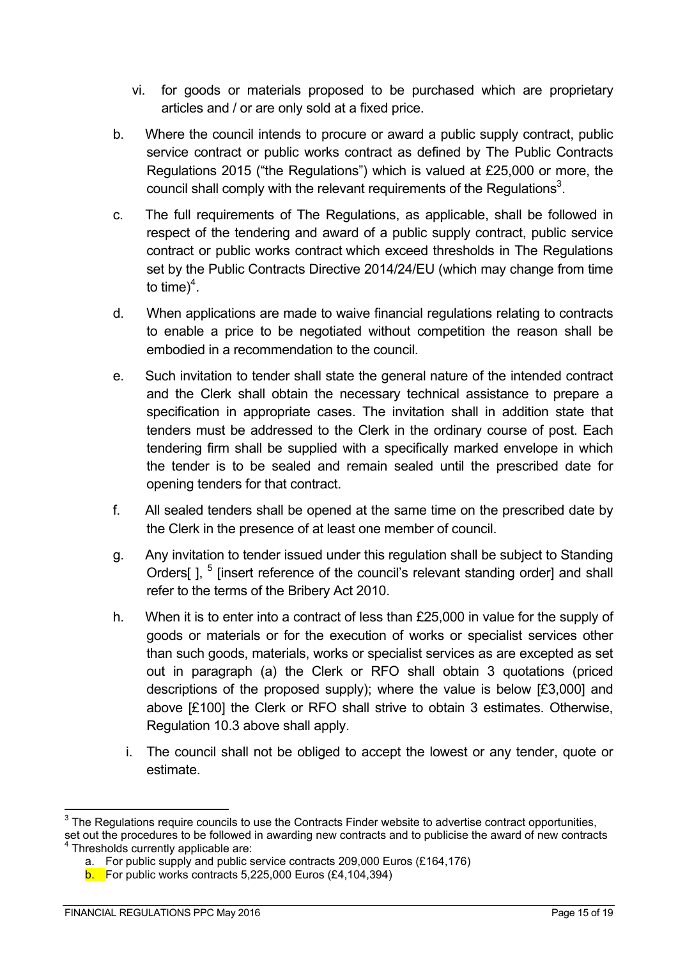- vi. for goods or materials proposed to be purchased which are proprietary articles and / or are only sold at a fixed price.
- b. Where the council intends to procure or award a public supply contract, public service contract or public works contract as defined by The Public Contracts Regulations 2015 ("the Regulations") which is valued at £25,000 or more, the council shall comply with the relevant requirements of the Regulations<sup>3</sup>.
- c. The full requirements of The Regulations, as applicable, shall be followed in respect of the tendering and award of a public supply contract, public service contract or public works contract which exceed thresholds in The Regulations set by the Public Contracts Directive 2014/24/EU (which may change from time to time) $4$ .
- d. When applications are made to waive financial regulations relating to contracts to enable a price to be negotiated without competition the reason shall be embodied in a recommendation to the council.
- e. Such invitation to tender shall state the general nature of the intended contract and the Clerk shall obtain the necessary technical assistance to prepare a specification in appropriate cases. The invitation shall in addition state that tenders must be addressed to the Clerk in the ordinary course of post. Each tendering firm shall be supplied with a specifically marked envelope in which the tender is to be sealed and remain sealed until the prescribed date for opening tenders for that contract.
- f. All sealed tenders shall be opened at the same time on the prescribed date by the Clerk in the presence of at least one member of council.
- g. Any invitation to tender issued under this regulation shall be subject to Standing Orders[], <sup>5</sup> [insert reference of the council's relevant standing order] and shall refer to the terms of the Bribery Act 2010.
- h. When it is to enter into a contract of less than £25,000 in value for the supply of goods or materials or for the execution of works or specialist services other than such goods, materials, works or specialist services as are excepted as set out in paragraph (a) the Clerk or RFO shall obtain 3 quotations (priced descriptions of the proposed supply); where the value is below [£3,000] and above [£100] the Clerk or RFO shall strive to obtain 3 estimates. Otherwise, Regulation 10.3 above shall apply.
	- i. The council shall not be obliged to accept the lowest or any tender, quote or estimate.

 $\overline{a}$  $^3$  The Regulations require councils to use the Contracts Finder website to advertise contract opportunities, set out the procedures to be followed in awarding new contracts and to publicise the award of new contracts

Thresholds currently applicable are:

a. For public supply and public service contracts 209,000 Euros (£164,176)

 $b.$  For public works contracts 5,225,000 Euros (£4,104,394)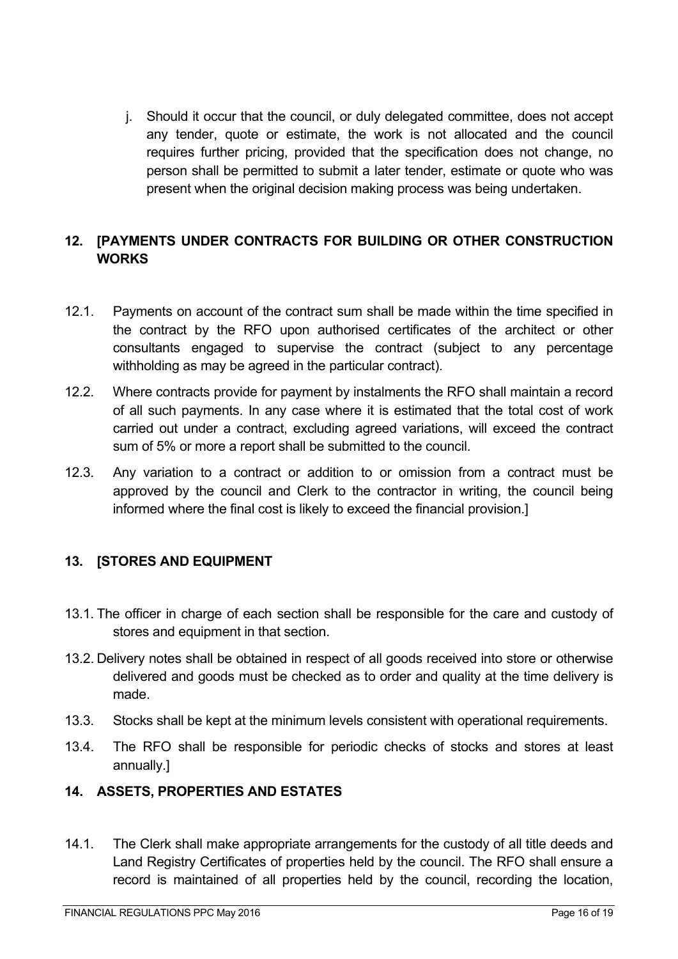j. Should it occur that the council, or duly delegated committee, does not accept any tender, quote or estimate, the work is not allocated and the council requires further pricing, provided that the specification does not change, no person shall be permitted to submit a later tender, estimate or quote who was present when the original decision making process was being undertaken.

# **12. [PAYMENTS UNDER CONTRACTS FOR BUILDING OR OTHER CONSTRUCTION WORKS**

- 12.1. Payments on account of the contract sum shall be made within the time specified in the contract by the RFO upon authorised certificates of the architect or other consultants engaged to supervise the contract (subject to any percentage withholding as may be agreed in the particular contract).
- 12.2. Where contracts provide for payment by instalments the RFO shall maintain a record of all such payments. In any case where it is estimated that the total cost of work carried out under a contract, excluding agreed variations, will exceed the contract sum of 5% or more a report shall be submitted to the council.
- 12.3. Any variation to a contract or addition to or omission from a contract must be approved by the council and Clerk to the contractor in writing, the council being informed where the final cost is likely to exceed the financial provision.]

# **13. [STORES AND EQUIPMENT**

- 13.1. The officer in charge of each section shall be responsible for the care and custody of stores and equipment in that section.
- 13.2. Delivery notes shall be obtained in respect of all goods received into store or otherwise delivered and goods must be checked as to order and quality at the time delivery is made.
- 13.3. Stocks shall be kept at the minimum levels consistent with operational requirements.
- 13.4. The RFO shall be responsible for periodic checks of stocks and stores at least annually.]

### **14. ASSETS, PROPERTIES AND ESTATES**

14.1. The Clerk shall make appropriate arrangements for the custody of all title deeds and Land Registry Certificates of properties held by the council. The RFO shall ensure a record is maintained of all properties held by the council, recording the location,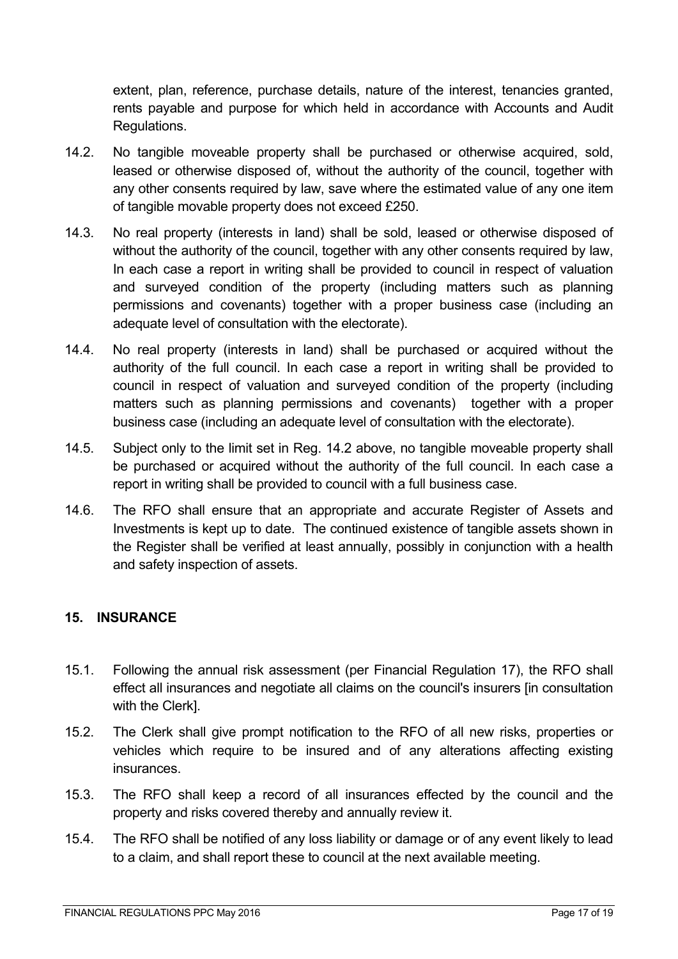extent, plan, reference, purchase details, nature of the interest, tenancies granted, rents payable and purpose for which held in accordance with Accounts and Audit Regulations.

- 14.2. No tangible moveable property shall be purchased or otherwise acquired, sold, leased or otherwise disposed of, without the authority of the council, together with any other consents required by law, save where the estimated value of any one item of tangible movable property does not exceed £250.
- 14.3. No real property (interests in land) shall be sold, leased or otherwise disposed of without the authority of the council, together with any other consents required by law, In each case a report in writing shall be provided to council in respect of valuation and surveyed condition of the property (including matters such as planning permissions and covenants) together with a proper business case (including an adequate level of consultation with the electorate).
- 14.4. No real property (interests in land) shall be purchased or acquired without the authority of the full council. In each case a report in writing shall be provided to council in respect of valuation and surveyed condition of the property (including matters such as planning permissions and covenants) together with a proper business case (including an adequate level of consultation with the electorate).
- 14.5. Subject only to the limit set in Reg. 14.2 above, no tangible moveable property shall be purchased or acquired without the authority of the full council. In each case a report in writing shall be provided to council with a full business case.
- 14.6. The RFO shall ensure that an appropriate and accurate Register of Assets and Investments is kept up to date. The continued existence of tangible assets shown in the Register shall be verified at least annually, possibly in conjunction with a health and safety inspection of assets.

# **15. INSURANCE**

- 15.1. Following the annual risk assessment (per Financial Regulation 17), the RFO shall effect all insurances and negotiate all claims on the council's insurers [in consultation with the Clerk].
- 15.2. The Clerk shall give prompt notification to the RFO of all new risks, properties or vehicles which require to be insured and of any alterations affecting existing insurances.
- 15.3. The RFO shall keep a record of all insurances effected by the council and the property and risks covered thereby and annually review it.
- 15.4. The RFO shall be notified of any loss liability or damage or of any event likely to lead to a claim, and shall report these to council at the next available meeting.